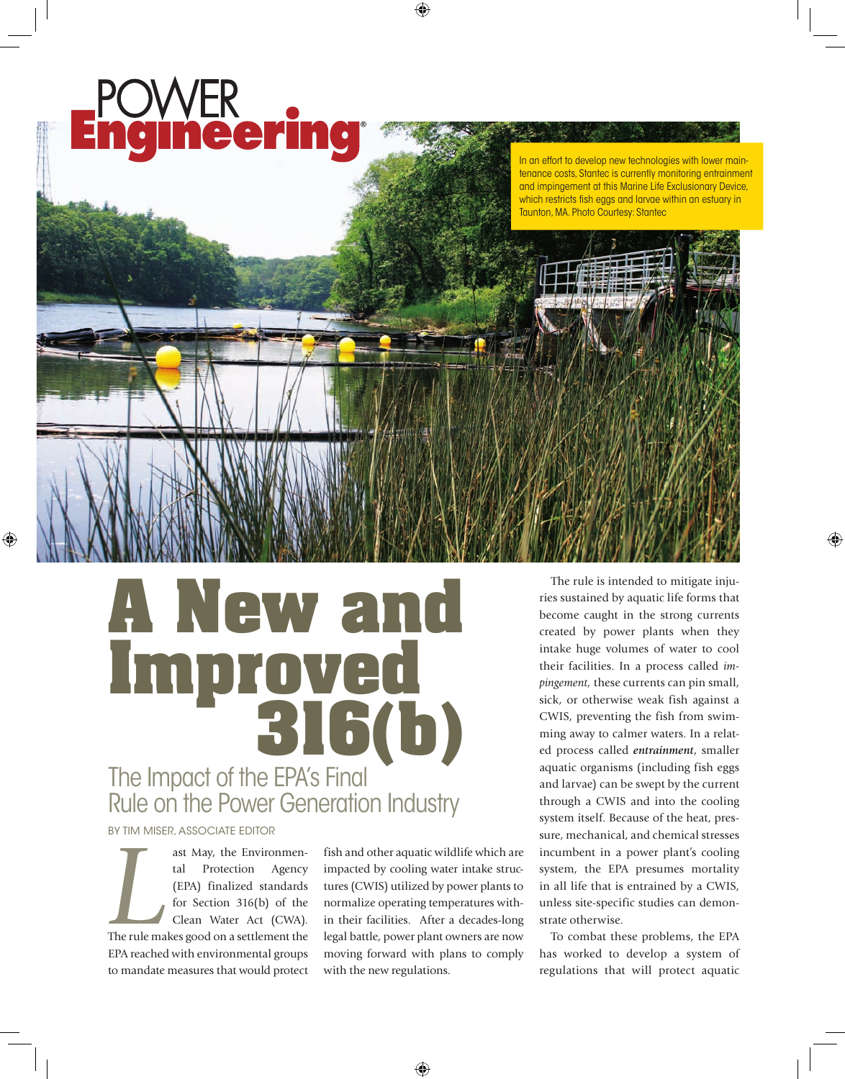## **ineerin**

In an effort to develop new technologies with lower maintenance costs, Stantec is currently monitoring entrainment and impingement at this Marine Life Exclusionary Device, which restricts fish eggs and larvae within an estuary in Taunton, MA. Photo Courtesy: Stantec

## **A New and Improved 316(b)** The Impact of the EPA's Final Rule on the Power Generation Industry

## BY TIM MISER, ASSOCIATE EDITOR

**LET ASSEM AND ASSEM AND ASSEMBED AREAD FINDING (EPA)** finalized standards for Section 316(b) of the Clean Water Act (CWA). The rule makes good on a settlement the ast May, the Environmental Protection Agency (EPA) finalized standards for Section 316(b) of the Clean Water Act (CWA). EPA reached with environmental groups to mandate measures that would protect

fish and other aquatic wildlife which are impacted by cooling water intake structures (CWIS) utilized by power plants to normalize operating temperatures within their facilities. After a decades-long legal battle, power plant owners are now moving forward with plans to comply with the new regulations.

The rule is intended to mitigate injuries sustained by aquatic life forms that become caught in the strong currents created by power plants when they intake huge volumes of water to cool their facilities. In a process called *impingement,* these currents can pin small, sick, or otherwise weak fish against a CWIS, preventing the fish from swimming away to calmer waters. In a related process called *entrainment*, smaller aquatic organisms (including fish eggs and larvae) can be swept by the current through a CWIS and into the cooling system itself. Because of the heat, pressure, mechanical, and chemical stresses incumbent in a power plant's cooling system, the EPA presumes mortality in all life that is entrained by a CWIS, unless site-specific studies can demonstrate otherwise.

To combat these problems, the EPA has worked to develop a system of regulations that will protect aquatic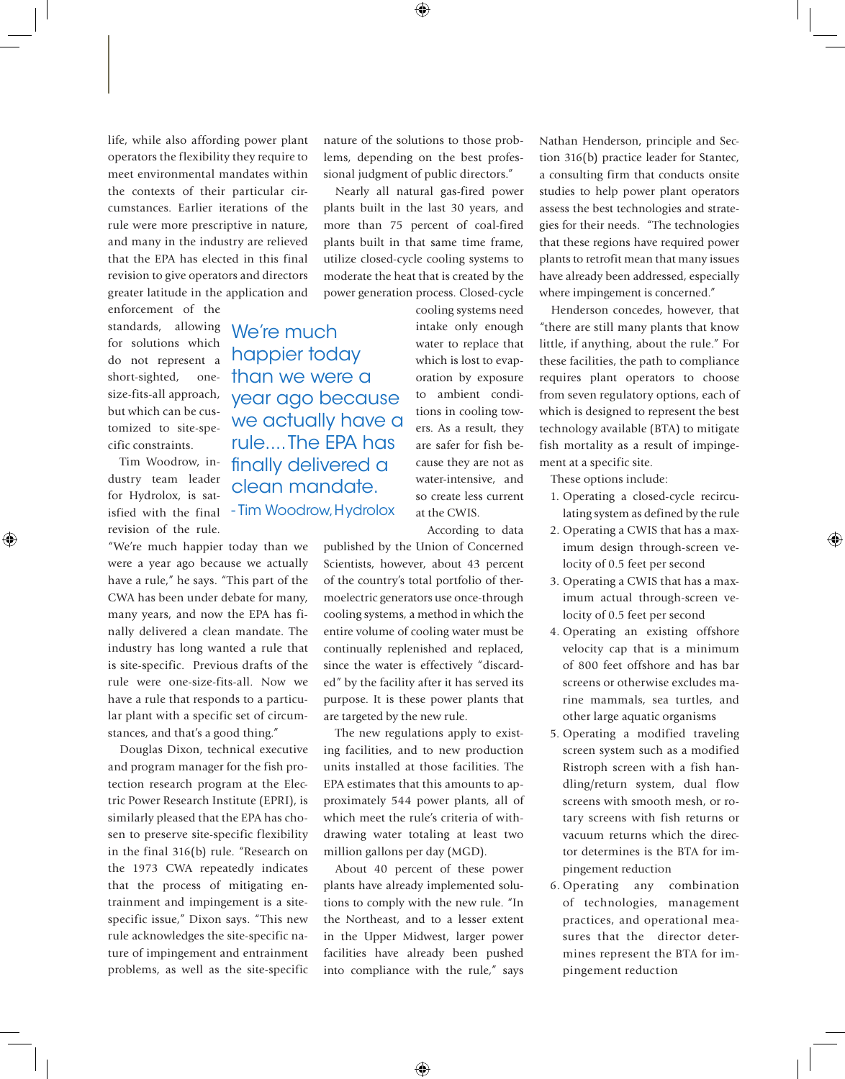life, while also affording power plant operators the flexibility they require to meet environmental mandates within the contexts of their particular circumstances. Earlier iterations of the rule were more prescriptive in nature, and many in the industry are relieved that the EPA has elected in this final revision to give operators and directors greater latitude in the application and

happier today

year ago because we actually have a rule.... The EPA has finally delivered a clean mandate.

enforcement of the standards, allowing We're much for solutions which do not represent a short-sighted, size-fits-all approach, but which can be customized to site-specific constraints. than we were a

Tim Woodrow, industry team leader for Hydrolox, is satisfied with the final - Tim Woodrow, Hydroloxrevision of the rule.

"We're much happier today than we were a year ago because we actually have a rule," he says. "This part of the CWA has been under debate for many, many years, and now the EPA has finally delivered a clean mandate. The industry has long wanted a rule that is site-specific. Previous drafts of the rule were one-size-fits-all. Now we have a rule that responds to a particular plant with a specific set of circumstances, and that's a good thing."

Douglas Dixon, technical executive and program manager for the fish protection research program at the Electric Power Research Institute (EPRI), is similarly pleased that the EPA has chosen to preserve site-specific flexibility in the final 316(b) rule. "Research on the 1973 CWA repeatedly indicates that the process of mitigating entrainment and impingement is a sitespecific issue," Dixon says. "This new rule acknowledges the site-specific nature of impingement and entrainment problems, as well as the site-specific nature of the solutions to those problems, depending on the best professional judgment of public directors."

Nearly all natural gas-fired power plants built in the last 30 years, and more than 75 percent of coal-fired plants built in that same time frame, utilize closed-cycle cooling systems to moderate the heat that is created by the power generation process. Closed-cycle

> cooling systems need intake only enough water to replace that which is lost to evaporation by exposure to ambient conditions in cooling towers. As a result, they are safer for fish because they are not as water-intensive, and so create less current at the CWIS.

According to data

published by the Union of Concerned Scientists, however, about 43 percent of the country's total portfolio of thermoelectric generators use once-through cooling systems, a method in which the entire volume of cooling water must be continually replenished and replaced, since the water is effectively "discarded" by the facility after it has served its purpose. It is these power plants that are targeted by the new rule.

The new regulations apply to existing facilities, and to new production units installed at those facilities. The EPA estimates that this amounts to approximately 544 power plants, all of which meet the rule's criteria of withdrawing water totaling at least two million gallons per day (MGD).

About 40 percent of these power plants have already implemented solutions to comply with the new rule. "In the Northeast, and to a lesser extent in the Upper Midwest, larger power facilities have already been pushed into compliance with the rule," says

Nathan Henderson, principle and Section 316(b) practice leader for Stantec, a consulting firm that conducts onsite studies to help power plant operators assess the best technologies and strategies for their needs. "The technologies that these regions have required power plants to retrofit mean that many issues have already been addressed, especially where impingement is concerned."

Henderson concedes, however, that "there are still many plants that know little, if anything, about the rule." For these facilities, the path to compliance requires plant operators to choose from seven regulatory options, each of which is designed to represent the best technology available (BTA) to mitigate fish mortality as a result of impingement at a specific site.

These options include:

- 1. Operating a closed-cycle recirculating system as defined by the rule
- 2. Operating a CWIS that has a maximum design through-screen velocity of 0.5 feet per second
- 3. Operating a CWIS that has a maximum actual through-screen velocity of 0.5 feet per second
- 4. Operating an existing offshore velocity cap that is a minimum of 800 feet offshore and has bar screens or otherwise excludes marine mammals, sea turtles, and other large aquatic organisms
- 5. Operating a modified traveling screen system such as a modified Ristroph screen with a fish handling/return system, dual flow screens with smooth mesh, or rotary screens with fish returns or vacuum returns which the director determines is the BTA for impingement reduction
- 6. Operating any combination of technologies, management practices, and operational measures that the director determines represent the BTA for impingement reduction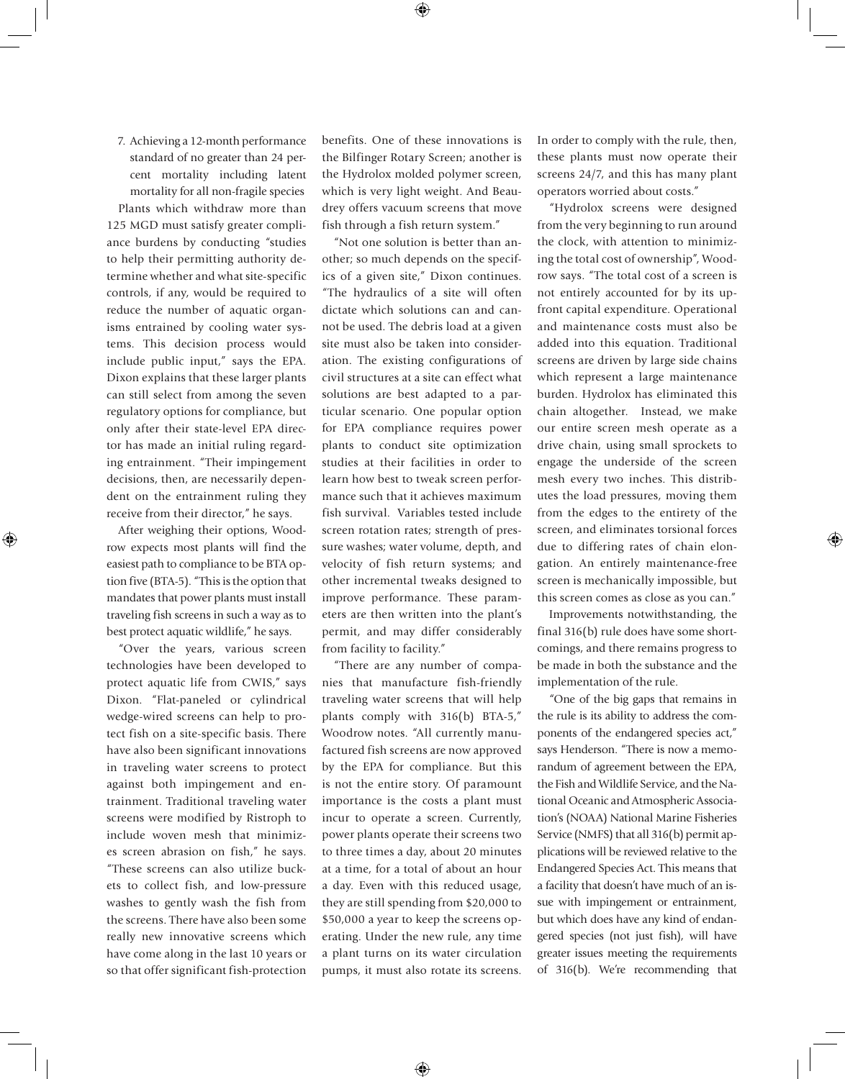7. Achieving a 12-month performance standard of no greater than 24 percent mortality including latent mortality for all non-fragile species

Plants which withdraw more than 125 MGD must satisfy greater compliance burdens by conducting "studies to help their permitting authority determine whether and what site-specific controls, if any, would be required to reduce the number of aquatic organisms entrained by cooling water systems. This decision process would include public input," says the EPA. Dixon explains that these larger plants can still select from among the seven regulatory options for compliance, but only after their state-level EPA director has made an initial ruling regarding entrainment. "Their impingement decisions, then, are necessarily dependent on the entrainment ruling they receive from their director," he says.

After weighing their options, Woodrow expects most plants will find the easiest path to compliance to be BTA option five (BTA-5). "This is the option that mandates that power plants must install traveling fish screens in such a way as to best protect aquatic wildlife," he says.

"Over the years, various screen technologies have been developed to protect aquatic life from CWIS," says Dixon. "Flat-paneled or cylindrical wedge-wired screens can help to protect fish on a site-specific basis. There have also been significant innovations in traveling water screens to protect against both impingement and entrainment. Traditional traveling water screens were modified by Ristroph to include woven mesh that minimizes screen abrasion on fish," he says. "These screens can also utilize buckets to collect fish, and low-pressure washes to gently wash the fish from the screens. There have also been some really new innovative screens which have come along in the last 10 years or so that offer significant fish-protection benefits. One of these innovations is the Bilfinger Rotary Screen; another is the Hydrolox molded polymer screen, which is very light weight. And Beaudrey offers vacuum screens that move fish through a fish return system."

"Not one solution is better than another; so much depends on the specifics of a given site," Dixon continues. "The hydraulics of a site will often dictate which solutions can and cannot be used. The debris load at a given site must also be taken into consideration. The existing configurations of civil structures at a site can effect what solutions are best adapted to a particular scenario. One popular option for EPA compliance requires power plants to conduct site optimization studies at their facilities in order to learn how best to tweak screen performance such that it achieves maximum fish survival. Variables tested include screen rotation rates; strength of pressure washes; water volume, depth, and velocity of fish return systems; and other incremental tweaks designed to improve performance. These parameters are then written into the plant's permit, and may differ considerably from facility to facility."

"There are any number of companies that manufacture fish-friendly traveling water screens that will help plants comply with 316(b) BTA-5," Woodrow notes. "All currently manufactured fish screens are now approved by the EPA for compliance. But this is not the entire story. Of paramount importance is the costs a plant must incur to operate a screen. Currently, power plants operate their screens two to three times a day, about 20 minutes at a time, for a total of about an hour a day. Even with this reduced usage, they are still spending from \$20,000 to \$50,000 a year to keep the screens operating. Under the new rule, any time a plant turns on its water circulation pumps, it must also rotate its screens.

In order to comply with the rule, then, these plants must now operate their screens 24/7, and this has many plant operators worried about costs."

"Hydrolox screens were designed from the very beginning to run around the clock, with attention to minimizing the total cost of ownership", Woodrow says. "The total cost of a screen is not entirely accounted for by its upfront capital expenditure. Operational and maintenance costs must also be added into this equation. Traditional screens are driven by large side chains which represent a large maintenance burden. Hydrolox has eliminated this chain altogether. Instead, we make our entire screen mesh operate as a drive chain, using small sprockets to engage the underside of the screen mesh every two inches. This distributes the load pressures, moving them from the edges to the entirety of the screen, and eliminates torsional forces due to differing rates of chain elongation. An entirely maintenance-free screen is mechanically impossible, but this screen comes as close as you can."

Improvements notwithstanding, the final 316(b) rule does have some shortcomings, and there remains progress to be made in both the substance and the implementation of the rule.

"One of the big gaps that remains in the rule is its ability to address the components of the endangered species act," says Henderson. "There is now a memorandum of agreement between the EPA, the Fish and Wildlife Service, and the National Oceanic and Atmospheric Association's (NOAA) National Marine Fisheries Service (NMFS) that all 316(b) permit applications will be reviewed relative to the Endangered Species Act. This means that a facility that doesn't have much of an issue with impingement or entrainment, but which does have any kind of endangered species (not just fish), will have greater issues meeting the requirements of 316(b). We're recommending that